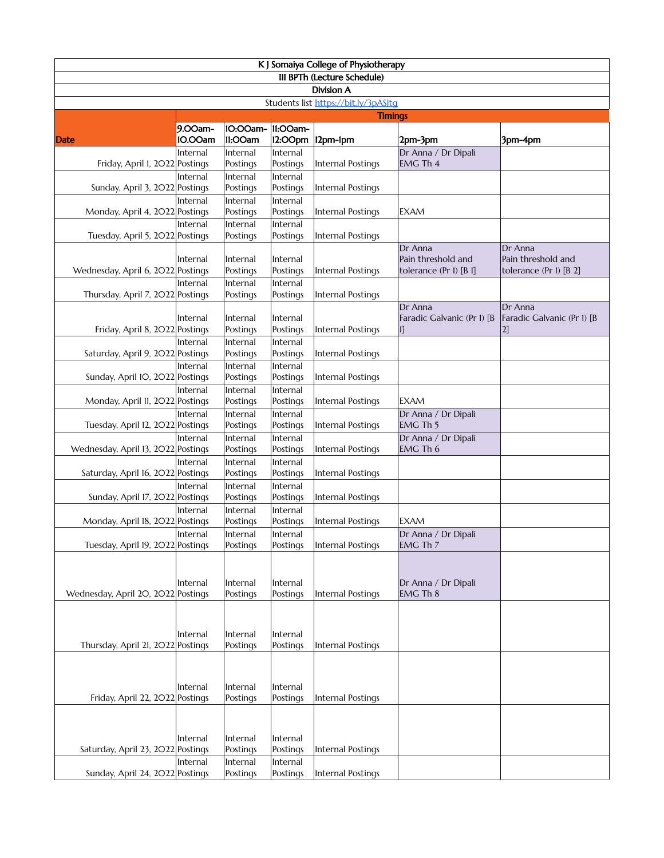| K J Somaiya College of Physiotherapy                      |                      |                                  |                                  |                   |                                                         |                                                         |  |  |  |
|-----------------------------------------------------------|----------------------|----------------------------------|----------------------------------|-------------------|---------------------------------------------------------|---------------------------------------------------------|--|--|--|
| III BPTh (Lecture Schedule)                               |                      |                                  |                                  |                   |                                                         |                                                         |  |  |  |
| <b>Division A</b><br>Students list https://bit.ly/3pASJtg |                      |                                  |                                  |                   |                                                         |                                                         |  |  |  |
| <b>Timings</b>                                            |                      |                                  |                                  |                   |                                                         |                                                         |  |  |  |
| <b>Date</b>                                               | 9.00am-<br>10.00am   | 10:00am- 11:00am-<br>11:00am     |                                  | 12:00pm 12pm-1pm  | 2pm-3pm                                                 | 3pm-4pm                                                 |  |  |  |
| Friday, April 1, 2022 Postings                            | Internal             | Internal<br>Postings             | Internal<br>Postings             | Internal Postings | Dr Anna / Dr Dipali<br>EMG Th 4                         |                                                         |  |  |  |
| Sunday, April 3, 2022 Postings                            | Internal             | Internal<br>Postings             | Internal<br>Postings             | Internal Postings |                                                         |                                                         |  |  |  |
| Monday, April 4, 2022 Postings                            | Internal             | Internal<br>Postings             | Internal<br>Postings             | Internal Postings | <b>EXAM</b>                                             |                                                         |  |  |  |
| Tuesday, April 5, 2022 Postings                           | Internal             | Internal<br>Postings             | Internal<br>Postings             | Internal Postings |                                                         |                                                         |  |  |  |
| Wednesday, April 6, 2022 Postings                         | Internal<br>Internal | Internal<br>Postings<br>Internal | Internal<br>Postings<br>Internal | Internal Postings | Dr Anna<br>Pain threshold and<br>tolerance (Pr I) [B I] | Dr Anna<br>Pain threshold and<br>tolerance (Pr I) [B 2] |  |  |  |
| Thursday, April 7, 2022 Postings                          |                      | Postings                         | Postings                         | Internal Postings |                                                         |                                                         |  |  |  |
| Friday, April 8, 2022 Postings                            | Internal             | Internal<br>Postings             | Internal<br>Postings             | Internal Postings | Dr Anna<br>Faradic Galvanic (Pr I) [B<br>11             | Dr Anna<br>Faradic Galvanic (Pr I) [B<br>2]             |  |  |  |
| Saturday, April 9, 2022 Postings                          | Internal             | Internal<br>Postings             | Internal<br>Postings             | Internal Postings |                                                         |                                                         |  |  |  |
| Sunday, April 10, 2022 Postings                           | Internal<br>Internal | Internal<br>Postings<br>Internal | Internal<br>Postings<br>Internal | Internal Postings |                                                         |                                                         |  |  |  |
| Monday, April II, 2022 Postings                           | Internal             | Postings<br>Internal             | Postings<br>Internal             | Internal Postings | <b>EXAM</b><br>Dr Anna / Dr Dipali                      |                                                         |  |  |  |
| Tuesday, April 12, 2022 Postings                          |                      | Postings                         | Postings                         | Internal Postings | EMG Th 5                                                |                                                         |  |  |  |
| Wednesday, April 13, 2022 Postings                        | Internal             | Internal<br>Postings             | Internal<br>Postings             | Internal Postings | Dr Anna / Dr Dipali<br>EMG Th 6                         |                                                         |  |  |  |
| Saturday, April 16, 2022 Postings                         | Internal             | Internal<br>Postings             | Internal<br>Postings             | Internal Postings |                                                         |                                                         |  |  |  |
| Sunday, April 17, 2022 Postings                           | Internal             | Internal<br>Postings             | Internal<br>Postings             | Internal Postings |                                                         |                                                         |  |  |  |
| Monday, April 18, 2022 Postings                           | Internal             | Internal<br>Postings             | Internal<br>Postings             | Internal Postings | EXAM                                                    |                                                         |  |  |  |
| Tuesday, April 19, 2022 Postings                          | Internal             | Internal<br>Postings             | Internal<br>Postings             | Internal Postings | Dr Anna / Dr Dipali<br>EMG Th 7                         |                                                         |  |  |  |
| Wednesday, April 20, 2022 Postings                        | Internal             | Internal<br>Postings             | Internal<br>Postings             | Internal Postings | Dr Anna / Dr Dipali<br><b>EMG Th 8</b>                  |                                                         |  |  |  |
|                                                           | Internal             | Internal                         | Internal                         |                   |                                                         |                                                         |  |  |  |
| Thursday, April 21, 2022 Postings                         | Internal             | Postings<br>Internal             | Postings<br>Internal             | Internal Postings |                                                         |                                                         |  |  |  |
| Friday, April 22, 2022 Postings                           |                      | Postings                         | Postings                         | Internal Postings |                                                         |                                                         |  |  |  |
| Saturday, April 23, 2022 Postings                         | Internal             | Internal<br>Postings             | Internal<br>Postings             | Internal Postings |                                                         |                                                         |  |  |  |
| Sunday, April 24, 2O22 Postings                           | Internal             | Internal<br>Postings             | Internal<br>Postings             | Internal Postings |                                                         |                                                         |  |  |  |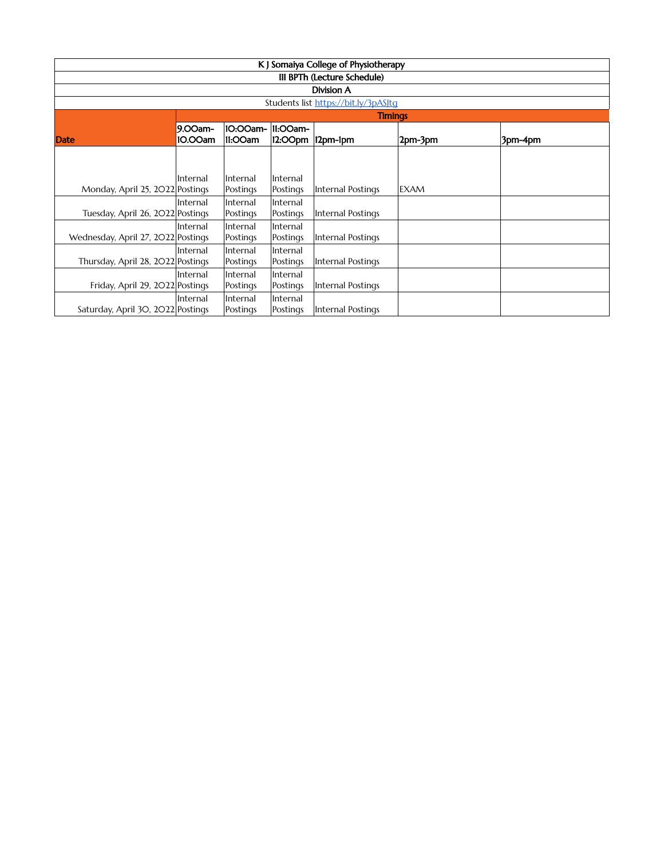| K J Somaiya College of Physiotherapy |                |          |          |                   |             |         |  |  |
|--------------------------------------|----------------|----------|----------|-------------------|-------------|---------|--|--|
| III BPTh (Lecture Schedule)          |                |          |          |                   |             |         |  |  |
| <b>Division A</b>                    |                |          |          |                   |             |         |  |  |
| Students list https://bit.ly/3pASJtq |                |          |          |                   |             |         |  |  |
|                                      | <b>Timings</b> |          |          |                   |             |         |  |  |
|                                      | 9.00am-        | 10:00am- | 11:00am- |                   |             |         |  |  |
| Date                                 | 10.00am        | 11:00am  |          | 12:00pm 12pm-1pm  | 2pm-3pm     | 3pm-4pm |  |  |
|                                      |                |          |          |                   |             |         |  |  |
|                                      |                |          |          |                   |             |         |  |  |
|                                      | Internal       | Internal | Internal |                   |             |         |  |  |
| Monday, April 25, 2022 Postings      |                | Postings | Postings | Internal Postings | <b>EXAM</b> |         |  |  |
|                                      | Internal       | Internal | Internal |                   |             |         |  |  |
| Tuesday, April 26, 2022 Postings     |                | Postings | Postings | Internal Postings |             |         |  |  |
|                                      | Internal       | Internal | Internal |                   |             |         |  |  |
| Wednesday, April 27, 2022 Postings   |                | Postings | Postings | Internal Postings |             |         |  |  |
|                                      | Internal       | Internal | Internal |                   |             |         |  |  |
| Thursday, April 28, 2022 Postings    |                | Postings | Postings | Internal Postings |             |         |  |  |
|                                      | Internal       | Internal | Internal |                   |             |         |  |  |
| Friday, April 29, 2022 Postings      |                | Postings | Postings | Internal Postings |             |         |  |  |
|                                      | Internal       | Internal | Internal |                   |             |         |  |  |
| Saturday, April 30, 2022 Postings    |                | Postings | Postings | Internal Postings |             |         |  |  |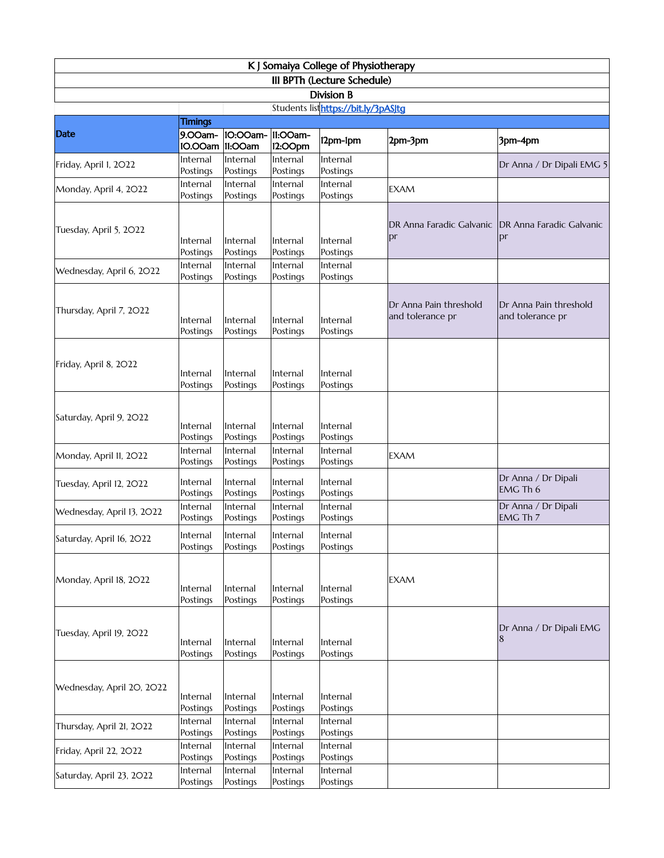| K J Somaiya College of Physiotherapy             |                      |                      |                      |                                     |                                            |                                            |  |  |  |
|--------------------------------------------------|----------------------|----------------------|----------------------|-------------------------------------|--------------------------------------------|--------------------------------------------|--|--|--|
| III BPTh (Lecture Schedule)<br><b>Division B</b> |                      |                      |                      |                                     |                                            |                                            |  |  |  |
|                                                  |                      |                      |                      | Students listhttps://bit.ly/3pASJtg |                                            |                                            |  |  |  |
|                                                  | <b>Timings</b>       |                      |                      |                                     |                                            |                                            |  |  |  |
| Date                                             | 9.00am-<br>10.00am   | 10:00am-<br>11:00am  | 11:00am-<br>12:00pm  | 12pm-1pm                            | 2pm-3pm                                    | 3pm-4pm                                    |  |  |  |
| Friday, April I, 2022                            | Internal<br>Postings | Internal<br>Postings | Internal<br>Postings | Internal<br>Postings                |                                            | Dr Anna / Dr Dipali EMG 5                  |  |  |  |
| Monday, April 4, 2022                            | Internal<br>Postings | Internal<br>Postings | Internal<br>Postings | Internal<br>Postings                | <b>EXAM</b>                                |                                            |  |  |  |
| Tuesday, April 5, 2022                           | Internal<br>Postings | Internal<br>Postings | Internal<br>Postings | Internal<br>Postings                | DR Anna Faradic Galvanic<br>pr             | DR Anna Faradic Galvanic<br>pr             |  |  |  |
| Wednesday, April 6, 2022                         | Internal<br>Postings | Internal<br>Postings | Internal<br>Postings | Internal<br>Postings                |                                            |                                            |  |  |  |
| Thursday, April 7, 2022                          | Internal<br>Postings | Internal<br>Postings | Internal<br>Postings | Internal<br>Postings                | Dr Anna Pain threshold<br>and tolerance pr | Dr Anna Pain threshold<br>and tolerance pr |  |  |  |
| Friday, April 8, 2022                            | Internal<br>Postings | Internal<br>Postings | Internal<br>Postings | Internal<br>Postings                |                                            |                                            |  |  |  |
| Saturday, April 9, 2022                          | Internal<br>Postings | Internal<br>Postings | Internal<br>Postings | Internal<br>Postings                |                                            |                                            |  |  |  |
| Monday, April II, 2022                           | Internal<br>Postings | Internal<br>Postings | Internal<br>Postings | Internal<br>Postings                | <b>EXAM</b>                                |                                            |  |  |  |
| Tuesday, April 12, 2022                          | Internal<br>Postings | Internal<br>Postings | Internal<br>Postings | Internal<br>Postings                |                                            | Dr Anna / Dr Dipali<br>EMG Th 6            |  |  |  |
| Wednesday, April 13, 2022                        | Internal<br>Postings | Internal<br>Postings | Internal<br>Postings | Internal<br>Postings                |                                            | Dr Anna / Dr Dipali<br>EMG Th 7            |  |  |  |
| Saturday, April 16, 2022                         | Internal<br>Postings | Internal<br>Postings | Internal<br>Postings | Internal<br>Postings                |                                            |                                            |  |  |  |
| Monday, April 18, 2022                           | Internal<br>Postings | Internal<br>Postings | Internal<br>Postings | Internal<br>Postings                | <b>EXAM</b>                                |                                            |  |  |  |
| Tuesday, April 19, 2022                          | Internal<br>Postings | Internal<br>Postings | Internal<br>Postings | Internal<br>Postings                |                                            | Dr Anna / Dr Dipali EMG                    |  |  |  |
| Wednesday, April 20, 2022                        | Internal<br>Postings | Internal<br>Postings | Internal<br>Postings | Internal<br>Postings                |                                            |                                            |  |  |  |
| Thursday, April 21, 2022                         | Internal<br>Postings | Internal<br>Postings | Internal<br>Postings | Internal<br>Postings                |                                            |                                            |  |  |  |
| Friday, April 22, 2022                           | Internal<br>Postings | Internal<br>Postings | Internal<br>Postings | Internal<br>Postings                |                                            |                                            |  |  |  |
| Saturday, April 23, 2022                         | Internal<br>Postings | Internal<br>Postings | Internal<br>Postings | Internal<br>Postings                |                                            |                                            |  |  |  |